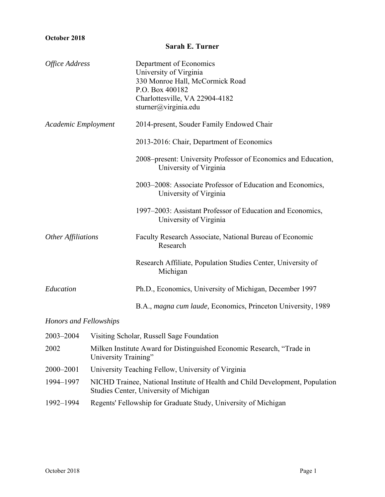# **Sarah E. Turner**

| Office Address         |                      | Department of Economics<br>University of Virginia<br>330 Monroe Hall, McCormick Road<br>P.O. Box 400182<br>Charlottesville, VA 22904-4182<br>sturner@virginia.edu |
|------------------------|----------------------|-------------------------------------------------------------------------------------------------------------------------------------------------------------------|
| Academic Employment    |                      | 2014-present, Souder Family Endowed Chair                                                                                                                         |
|                        |                      | 2013-2016: Chair, Department of Economics                                                                                                                         |
|                        |                      | 2008–present: University Professor of Economics and Education,<br>University of Virginia                                                                          |
|                        |                      | 2003-2008: Associate Professor of Education and Economics,<br>University of Virginia                                                                              |
|                        |                      | 1997–2003: Assistant Professor of Education and Economics,<br>University of Virginia                                                                              |
| Other Affiliations     |                      | Faculty Research Associate, National Bureau of Economic<br>Research                                                                                               |
|                        |                      | Research Affiliate, Population Studies Center, University of<br>Michigan                                                                                          |
| Education              |                      | Ph.D., Economics, University of Michigan, December 1997                                                                                                           |
|                        |                      | B.A., magna cum laude, Economics, Princeton University, 1989                                                                                                      |
| Honors and Fellowships |                      |                                                                                                                                                                   |
| 2003-2004              |                      | Visiting Scholar, Russell Sage Foundation                                                                                                                         |
| 2002                   | University Training" | Milken Institute Award for Distinguished Economic Research, "Trade in                                                                                             |
| 2000-2001              |                      | University Teaching Fellow, University of Virginia                                                                                                                |

- 1994–1997 NICHD Trainee, National Institute of Health and Child Development, Population Studies Center, University of Michigan
- 1992–1994 Regents' Fellowship for Graduate Study, University of Michigan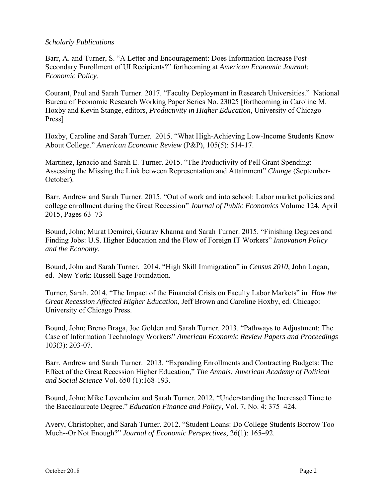#### *Scholarly Publications*

Barr, A. and Turner, S. "A Letter and Encouragement: Does Information Increase Post-Secondary Enrollment of UI Recipients?" forthcoming at *American Economic Journal: Economic Policy*.

Courant, Paul and Sarah Turner. 2017. "Faculty Deployment in Research Universities." National Bureau of Economic Research Working Paper Series No. 23025 [forthcoming in Caroline M. Hoxby and Kevin Stange, editors, *Productivity in Higher Education*, University of Chicago Press]

Hoxby, Caroline and Sarah Turner. 2015. "What High-Achieving Low-Income Students Know About College." *American Economic Review* (P&P), 105(5): 514-17.

Martinez, Ignacio and Sarah E. Turner. 2015. "The Productivity of Pell Grant Spending: Assessing the Missing the Link between Representation and Attainment" *Change* (September-October).

Barr, Andrew and Sarah Turner. 2015. "Out of work and into school: Labor market policies and college enrollment during the Great Recession" *Journal of Public Economics* Volume 124, April 2015, Pages 63–73

Bound, John; Murat Demirci, Gaurav Khanna and Sarah Turner. 2015. "Finishing Degrees and Finding Jobs: U.S. Higher Education and the Flow of Foreign IT Workers" *Innovation Policy and the Economy*.

Bound, John and Sarah Turner. 2014. "High Skill Immigration" in *Census 2010*, John Logan, ed. New York: Russell Sage Foundation.

Turner, Sarah. 2014. "The Impact of the Financial Crisis on Faculty Labor Markets" in *How the Great Recession Affected Higher Education*, Jeff Brown and Caroline Hoxby, ed. Chicago: University of Chicago Press.

Bound, John; Breno Braga, Joe Golden and Sarah Turner. 2013. "Pathways to Adjustment: The Case of Information Technology Workers" *American Economic Review Papers and Proceedings* 103(3): 203-07.

Barr, Andrew and Sarah Turner. 2013. "Expanding Enrollments and Contracting Budgets: The Effect of the Great Recession Higher Education," *The Annals: American Academy of Political and Social Science* Vol. 650 (1):168-193.

Bound, John; Mike Lovenheim and Sarah Turner. 2012. "Understanding the Increased Time to the Baccalaureate Degree." *Education Finance and Policy*, Vol. 7, No. 4: 375–424.

Avery, Christopher, and Sarah Turner. 2012. "Student Loans: Do College Students Borrow Too Much--Or Not Enough?" *Journal of Economic Perspectives*, 26(1): 165–92.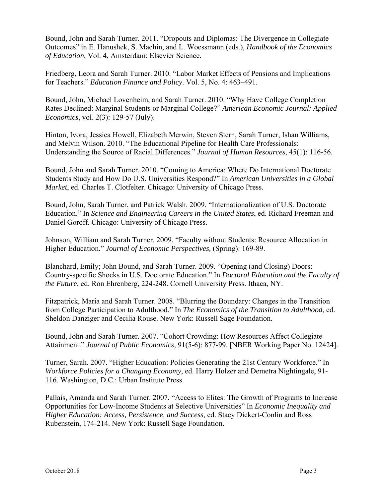Bound, John and Sarah Turner. 2011. "Dropouts and Diplomas: The Divergence in Collegiate Outcomes" in E. Hanushek, S. Machin, and L. Woessmann (eds.), *Handbook of the Economics of Education*, Vol. 4, Amsterdam: Elsevier Science.

Friedberg, Leora and Sarah Turner. 2010. "Labor Market Effects of Pensions and Implications for Teachers." *Education Finance and Policy*. Vol. 5, No. 4: 463–491.

Bound, John, Michael Lovenheim, and Sarah Turner. 2010. "Why Have College Completion Rates Declined: Marginal Students or Marginal College?" *American Economic Journal: Applied Economics*, vol. 2(3): 129-57 (July).

Hinton, Ivora, Jessica Howell, Elizabeth Merwin, Steven Stern, Sarah Turner, Ishan Williams, and Melvin Wilson. 2010. "The Educational Pipeline for Health Care Professionals: Understanding the Source of Racial Differences." *Journal of Human Resources*, 45(1): 116-56.

Bound, John and Sarah Turner. 2010. "Coming to America: Where Do International Doctorate Students Study and How Do U.S. Universities Respond?" In *American Universities in a Global Market*, ed. Charles T. Clotfelter. Chicago: University of Chicago Press.

Bound, John, Sarah Turner, and Patrick Walsh. 2009. "Internationalization of U.S. Doctorate Education." In *Science and Engineering Careers in the United States*, ed. Richard Freeman and Daniel Goroff. Chicago: University of Chicago Press.

Johnson, William and Sarah Turner. 2009. "Faculty without Students: Resource Allocation in Higher Education." *Journal of Economic Perspectives,* (Spring): 169-89.

Blanchard, Emily; John Bound, and Sarah Turner. 2009. "Opening (and Closing) Doors: Country-specific Shocks in U.S. Doctorate Education." In *Doctoral Education and the Faculty of the Future*, ed. Ron Ehrenberg, 224-248. Cornell University Press. Ithaca, NY.

Fitzpatrick, Maria and Sarah Turner. 2008. "Blurring the Boundary: Changes in the Transition from College Participation to Adulthood." In *The Economics of the Transition to Adulthood*, ed. Sheldon Danziger and Cecilia Rouse. New York: Russell Sage Foundation.

Bound, John and Sarah Turner. 2007. "Cohort Crowding: How Resources Affect Collegiate Attainment." *Journal of Public Economics,* 91(5-6): 877-99. [NBER Working Paper No. 12424].

Turner, Sarah. 2007. "Higher Education: Policies Generating the 21st Century Workforce." In *Workforce Policies for a Changing Economy*, ed. Harry Holzer and Demetra Nightingale, 91- 116. Washington, D.C.: Urban Institute Press.

Pallais, Amanda and Sarah Turner. 2007*.* "Access to Elites: The Growth of Programs to Increase Opportunities for Low-Income Students at Selective Universities" In *Economic Inequality and Higher Education: Access, Persistence, and Success*, ed. Stacy Dickert-Conlin and Ross Rubenstein, 174-214. New York: Russell Sage Foundation.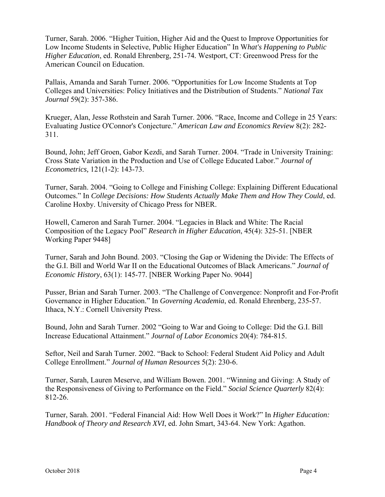Turner, Sarah. 2006. "Higher Tuition, Higher Aid and the Quest to Improve Opportunities for Low Income Students in Selective, Public Higher Education" In W*hat's Happening to Public Higher Education*, ed. Ronald Ehrenberg, 251-74*.* Westport, CT: Greenwood Press for the American Council on Education.

Pallais, Amanda and Sarah Turner. 2006. "Opportunities for Low Income Students at Top Colleges and Universities: Policy Initiatives and the Distribution of Students." *National Tax Journal* 59(2): 357-386.

Krueger, Alan, Jesse Rothstein and Sarah Turner. 2006*.* "Race, Income and College in 25 Years: Evaluating Justice O'Connor's Conjecture." *American Law and Economics Review* 8(2): 282- 311.

Bound, John; Jeff Groen, Gabor Kezdi, and Sarah Turner. 2004. "Trade in University Training: Cross State Variation in the Production and Use of College Educated Labor." *Journal of Econometrics,* 121(1-2): 143-73.

Turner, Sarah. 2004. "Going to College and Finishing College: Explaining Different Educational Outcomes." In *College Decisions: How Students Actually Make Them and How They Could*, ed. Caroline Hoxby. University of Chicago Press for NBER.

Howell, Cameron and Sarah Turner. 2004. "Legacies in Black and White: The Racial Composition of the Legacy Pool" *Research in Higher Education*, 45(4): 325-51. [NBER Working Paper 9448]

Turner, Sarah and John Bound. 2003. "Closing the Gap or Widening the Divide: The Effects of the G.I. Bill and World War II on the Educational Outcomes of Black Americans." *Journal of Economic History*, 63(1): 145-77. [NBER Working Paper No. 9044]

Pusser, Brian and Sarah Turner. 2003. "The Challenge of Convergence: Nonprofit and For-Profit Governance in Higher Education." In *Governing Academia*, ed. Ronald Ehrenberg, 235-57. Ithaca, N.Y.: Cornell University Press.

Bound, John and Sarah Turner. 2002 "Going to War and Going to College: Did the G.I. Bill Increase Educational Attainment." *Journal of Labor Economics* 20(4): 784-815.

Seftor, Neil and Sarah Turner. 2002. "Back to School: Federal Student Aid Policy and Adult College Enrollment." *Journal of Human Resources* 5(2): 230-6.

Turner, Sarah, Lauren Meserve, and William Bowen. 2001. "Winning and Giving: A Study of the Responsiveness of Giving to Performance on the Field." *Social Science Quarterly* 82(4): 812-26.

Turner, Sarah. 2001. "Federal Financial Aid: How Well Does it Work?" In *Higher Education: Handbook of Theory and Research XVI*, ed. John Smart, 343-64. New York: Agathon.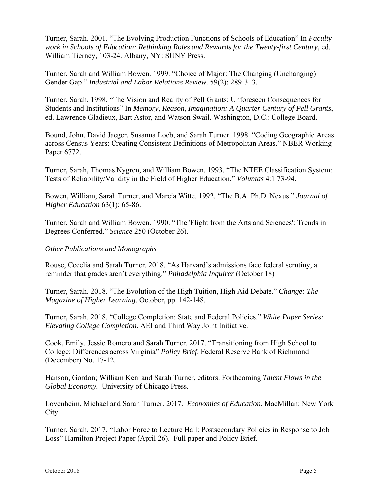Turner, Sarah. 2001. "The Evolving Production Functions of Schools of Education" In *Faculty work in Schools of Education: Rethinking Roles and Rewards for the Twenty-first Century*, ed. William Tierney, 103-24. Albany, NY: SUNY Press.

Turner, Sarah and William Bowen. 1999. "Choice of Major: The Changing (Unchanging) Gender Gap." *Industrial and Labor Relations Review*. 59(2): 289-313.

Turner, Sarah. 1998. "The Vision and Reality of Pell Grants: Unforeseen Consequences for Students and Institutions" In *Memory, Reason, Imagination: A Quarter Century of Pell Grants*, ed. Lawrence Gladieux, Bart Astor, and Watson Swail. Washington, D.C.: College Board.

Bound, John, David Jaeger, Susanna Loeb, and Sarah Turner. 1998. "Coding Geographic Areas across Census Years: Creating Consistent Definitions of Metropolitan Areas." NBER Working Paper 6772.

Turner, Sarah, Thomas Nygren, and William Bowen. 1993. "The NTEE Classification System: Tests of Reliability/Validity in the Field of Higher Education." *Voluntas* 4:1 73-94.

Bowen, William, Sarah Turner, and Marcia Witte. 1992. "The B.A. Ph.D. Nexus." *Journal of Higher Education* 63(1): 65-86.

Turner, Sarah and William Bowen. 1990. "The 'Flight from the Arts and Sciences': Trends in Degrees Conferred." *Science* 250 (October 26).

### *Other Publications and Monographs*

Rouse, Cecelia and Sarah Turner. 2018. "As Harvard's admissions face federal scrutiny, a reminder that grades aren't everything." *Philadelphia Inquirer* (October 18)

Turner, Sarah. 2018. "The Evolution of the High Tuition, High Aid Debate." *Change: The Magazine of Higher Learning*. October, pp. 142-148.

Turner, Sarah. 2018. "College Completion: State and Federal Policies." *White Paper Series: Elevating College Completion*. AEI and Third Way Joint Initiative.

Cook, Emily. Jessie Romero and Sarah Turner. 2017. "Transitioning from High School to College: Differences across Virginia" *Policy Brief*. Federal Reserve Bank of Richmond (December) No. 17-12.

Hanson, Gordon; William Kerr and Sarah Turner, editors. Forthcoming *Talent Flows in the Global Economy.* University of Chicago Press*.*

Lovenheim, Michael and Sarah Turner. 2017. *Economics of Education*. MacMillan: New York City.

Turner, Sarah. 2017. "Labor Force to Lecture Hall: Postsecondary Policies in Response to Job Loss" Hamilton Project Paper (April 26). Full paper and Policy Brief.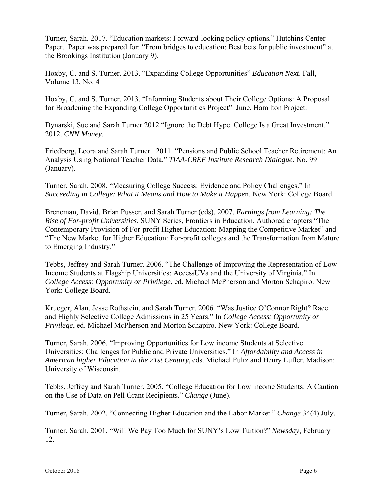Turner, Sarah. 2017. "Education markets: Forward-looking policy options." Hutchins Center Paper. Paper was prepared for: "From bridges to education: Best bets for public investment" at the Brookings Institution (January 9).

Hoxby, C. and S. Turner. 2013. "Expanding College Opportunities" *Education Next*. Fall, Volume 13, No. 4

Hoxby, C. and S. Turner. 2013. "Informing Students about Their College Options: A Proposal for Broadening the Expanding College Opportunities Project" June, Hamilton Project.

Dynarski, Sue and Sarah Turner 2012 "Ignore the Debt Hype. College Is a Great Investment." 2012. *CNN Money*.

Friedberg, Leora and Sarah Turner. 2011. "Pensions and Public School Teacher Retirement: An Analysis Using National Teacher Data." *TIAA-CREF Institute Research Dialogue*. No. 99 (January).

Turner, Sarah. 2008. "Measuring College Success: Evidence and Policy Challenges." In *Succeeding in College: What it Means and How to Make it Happe*n. New York: College Board.

Breneman, David, Brian Pusser, and Sarah Turner (eds). 2007. *Earnings from Learning: The Rise of For-profit Universities*. SUNY Series, Frontiers in Education. Authored chapters "The Contemporary Provision of For-profit Higher Education: Mapping the Competitive Market" and "The New Market for Higher Education: For-profit colleges and the Transformation from Mature to Emerging Industry."

Tebbs, Jeffrey and Sarah Turner. 2006. "The Challenge of Improving the Representation of Low-Income Students at Flagship Universities: AccessUVa and the University of Virginia." In *College Access: Opportunity or Privilege*, ed. Michael McPherson and Morton Schapiro. New York: College Board.

Krueger, Alan, Jesse Rothstein, and Sarah Turner. 2006*.* "Was Justice O'Connor Right? Race and Highly Selective College Admissions in 25 Years." In *College Access: Opportunity or Privilege*, ed. Michael McPherson and Morton Schapiro. New York: College Board.

Turner, Sarah. 2006. "Improving Opportunities for Low income Students at Selective Universities: Challenges for Public and Private Universities." In *Affordability and Access in American higher Education in the 21st Century*, eds. Michael Fultz and Henry Lufler. Madison: University of Wisconsin.

Tebbs, Jeffrey and Sarah Turner. 2005. "College Education for Low income Students: A Caution on the Use of Data on Pell Grant Recipients." *Change* (June).

Turner, Sarah. 2002. "Connecting Higher Education and the Labor Market." *Change* 34(4) July.

Turner, Sarah. 2001. "Will We Pay Too Much for SUNY's Low Tuition?" *Newsday*, February 12.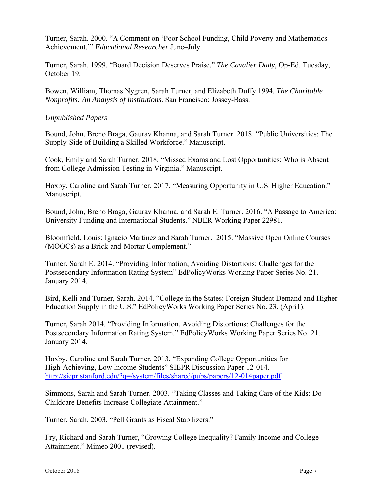Turner, Sarah. 2000. "A Comment on 'Poor School Funding, Child Poverty and Mathematics Achievement.'" *Educational Researcher* June–July.

Turner, Sarah. 1999. "Board Decision Deserves Praise." *The Cavalier Daily*, Op-Ed. Tuesday, October 19.

Bowen, William, Thomas Nygren, Sarah Turner, and Elizabeth Duffy.1994. *The Charitable Nonprofits: An Analysis of Institutions*. San Francisco: Jossey-Bass.

### *Unpublished Papers*

Bound, John, Breno Braga, Gaurav Khanna, and Sarah Turner. 2018. "Public Universities: The Supply-Side of Building a Skilled Workforce." Manuscript.

Cook, Emily and Sarah Turner. 2018. "Missed Exams and Lost Opportunities: Who is Absent from College Admission Testing in Virginia." Manuscript.

Hoxby, Caroline and Sarah Turner. 2017. "Measuring Opportunity in U.S. Higher Education." Manuscript.

Bound, John, Breno Braga, Gaurav Khanna, and Sarah E. Turner. 2016. "A Passage to America: University Funding and International Students." NBER Working Paper 22981.

Bloomfield, Louis; Ignacio Martinez and Sarah Turner. 2015. "Massive Open Online Courses (MOOCs) as a Brick-and-Mortar Complement."

Turner, Sarah E. 2014. "Providing Information, Avoiding Distortions: Challenges for the Postsecondary Information Rating System" EdPolicyWorks Working Paper Series No. 21. January 2014.

Bird, Kelli and Turner, Sarah. 2014. "College in the States: Foreign Student Demand and Higher Education Supply in the U.S." EdPolicyWorks Working Paper Series No. 23. (Apri1).

Turner, Sarah 2014. "Providing Information, Avoiding Distortions: Challenges for the Postsecondary Information Rating System." EdPolicyWorks Working Paper Series No. 21. January 2014.

Hoxby, Caroline and Sarah Turner. 2013. "Expanding College Opportunities for High-Achieving, Low Income Students" SIEPR Discussion Paper 12-014. http://siepr.stanford.edu/?q=/system/files/shared/pubs/papers/12-014paper.pdf

Simmons, Sarah and Sarah Turner. 2003. "Taking Classes and Taking Care of the Kids: Do Childcare Benefits Increase Collegiate Attainment."

Turner, Sarah. 2003. "Pell Grants as Fiscal Stabilizers."

Fry, Richard and Sarah Turner, "Growing College Inequality? Family Income and College Attainment." Mimeo 2001 (revised).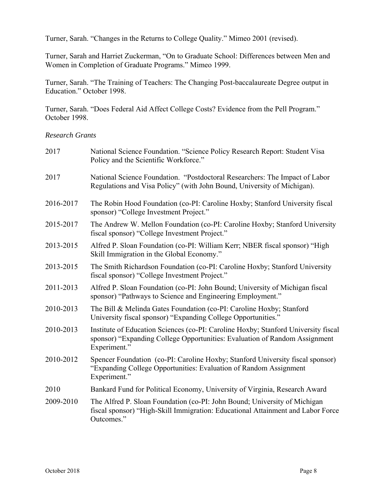Turner, Sarah. "Changes in the Returns to College Quality." Mimeo 2001 (revised).

Turner, Sarah and Harriet Zuckerman, "On to Graduate School: Differences between Men and Women in Completion of Graduate Programs." Mimeo 1999.

Turner, Sarah. "The Training of Teachers: The Changing Post-baccalaureate Degree output in Education." October 1998.

Turner, Sarah. "Does Federal Aid Affect College Costs? Evidence from the Pell Program." October 1998.

### *Research Grants*

| 2017      | National Science Foundation. "Science Policy Research Report: Student Visa<br>Policy and the Scientific Workforce."                                                              |
|-----------|----------------------------------------------------------------------------------------------------------------------------------------------------------------------------------|
| 2017      | National Science Foundation. "Postdoctoral Researchers: The Impact of Labor<br>Regulations and Visa Policy" (with John Bound, University of Michigan).                           |
| 2016-2017 | The Robin Hood Foundation (co-PI: Caroline Hoxby; Stanford University fiscal<br>sponsor) "College Investment Project."                                                           |
| 2015-2017 | The Andrew W. Mellon Foundation (co-PI: Caroline Hoxby; Stanford University<br>fiscal sponsor) "College Investment Project."                                                     |
| 2013-2015 | Alfred P. Sloan Foundation (co-PI: William Kerr; NBER fiscal sponsor) "High<br>Skill Immigration in the Global Economy."                                                         |
| 2013-2015 | The Smith Richardson Foundation (co-PI: Caroline Hoxby; Stanford University<br>fiscal sponsor) "College Investment Project."                                                     |
| 2011-2013 | Alfred P. Sloan Foundation (co-PI: John Bound; University of Michigan fiscal<br>sponsor) "Pathways to Science and Engineering Employment."                                       |
| 2010-2013 | The Bill & Melinda Gates Foundation (co-PI: Caroline Hoxby; Stanford<br>University fiscal sponsor) "Expanding College Opportunities."                                            |
| 2010-2013 | Institute of Education Sciences (co-PI: Caroline Hoxby; Stanford University fiscal<br>sponsor) "Expanding College Opportunities: Evaluation of Random Assignment<br>Experiment." |
| 2010-2012 | Spencer Foundation (co-PI: Caroline Hoxby; Stanford University fiscal sponsor)<br>"Expanding College Opportunities: Evaluation of Random Assignment<br>Experiment."              |
| 2010      | Bankard Fund for Political Economy, University of Virginia, Research Award                                                                                                       |
| 2009-2010 | The Alfred P. Sloan Foundation (co-PI: John Bound; University of Michigan<br>fiscal sponsor) "High-Skill Immigration: Educational Attainment and Labor Force<br>Outcomes."       |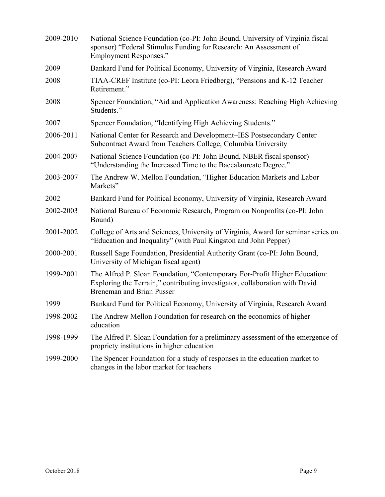| 2009-2010 | National Science Foundation (co-PI: John Bound, University of Virginia fiscal<br>sponsor) "Federal Stimulus Funding for Research: An Assessment of<br>Employment Responses."                  |
|-----------|-----------------------------------------------------------------------------------------------------------------------------------------------------------------------------------------------|
| 2009      | Bankard Fund for Political Economy, University of Virginia, Research Award                                                                                                                    |
| 2008      | TIAA-CREF Institute (co-PI: Leora Friedberg), "Pensions and K-12 Teacher<br>Retirement."                                                                                                      |
| 2008      | Spencer Foundation, "Aid and Application Awareness: Reaching High Achieving<br>Students."                                                                                                     |
| 2007      | Spencer Foundation, "Identifying High Achieving Students."                                                                                                                                    |
| 2006-2011 | National Center for Research and Development-IES Postsecondary Center<br>Subcontract Award from Teachers College, Columbia University                                                         |
| 2004-2007 | National Science Foundation (co-PI: John Bound, NBER fiscal sponsor)<br>"Understanding the Increased Time to the Baccalaureate Degree."                                                       |
| 2003-2007 | The Andrew W. Mellon Foundation, "Higher Education Markets and Labor<br>Markets"                                                                                                              |
| 2002      | Bankard Fund for Political Economy, University of Virginia, Research Award                                                                                                                    |
| 2002-2003 | National Bureau of Economic Research, Program on Nonprofits (co-PI: John<br>Bound)                                                                                                            |
| 2001-2002 | College of Arts and Sciences, University of Virginia, Award for seminar series on<br>"Education and Inequality" (with Paul Kingston and John Pepper)                                          |
| 2000-2001 | Russell Sage Foundation, Presidential Authority Grant (co-PI: John Bound,<br>University of Michigan fiscal agent)                                                                             |
| 1999-2001 | The Alfred P. Sloan Foundation, "Contemporary For-Profit Higher Education:<br>Exploring the Terrain," contributing investigator, collaboration with David<br><b>Breneman and Brian Pusser</b> |
| 1999      | Bankard Fund for Political Economy, University of Virginia, Research Award                                                                                                                    |
| 1998-2002 | The Andrew Mellon Foundation for research on the economics of higher<br>education                                                                                                             |
| 1998-1999 | The Alfred P. Sloan Foundation for a preliminary assessment of the emergence of<br>propriety institutions in higher education                                                                 |
| 1999-2000 | The Spencer Foundation for a study of responses in the education market to<br>changes in the labor market for teachers                                                                        |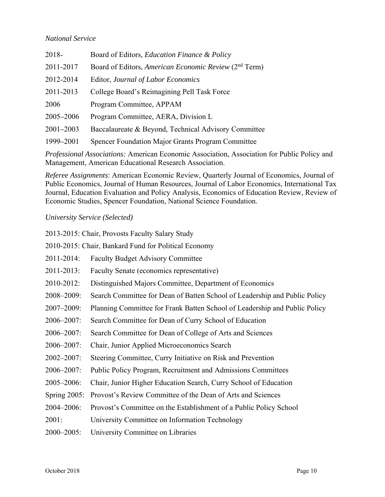#### *National Service*

| 2018-         | Board of Editors, <i>Education Finance &amp; Policy</i>           |
|---------------|-------------------------------------------------------------------|
| 2011-2017     | Board of Editors, American Economic Review (2 <sup>nd</sup> Term) |
| 2012-2014     | Editor, Journal of Labor Economics                                |
| 2011-2013     | College Board's Reimagining Pell Task Force                       |
|               |                                                                   |
| 2006          | Program Committee, APPAM                                          |
| 2005-2006     | Program Committee, AERA, Division L                               |
| $2001 - 2003$ | Baccalaureate & Beyond, Technical Advisory Committee              |
| 1999-2001     | <b>Spencer Foundation Major Grants Program Committee</b>          |

*Professional Associations:* American Economic Association, Association for Public Policy and Management, American Educational Research Association.

*Referee Assignments*: American Economic Review, Quarterly Journal of Economics, Journal of Public Economics, Journal of Human Resources, Journal of Labor Economics, International Tax Journal, Education Evaluation and Policy Analysis, Economics of Education Review, Review of Economic Studies, Spencer Foundation, National Science Foundation.

#### *University Service (Selected)*

2013-2015: Chair, Provosts Faculty Salary Study

2010-2015: Chair, Bankard Fund for Political Economy

- 2011-2014: Faculty Budget Advisory Committee
- 2011-2013: Faculty Senate (economics representative)
- 2010-2012: Distinguished Majors Committee, Department of Economics
- 2008–2009: Search Committee for Dean of Batten School of Leadership and Public Policy
- 2007–2009: Planning Committee for Frank Batten School of Leadership and Public Policy
- 2006–2007: Search Committee for Dean of Curry School of Education
- 2006–2007: Search Committee for Dean of College of Arts and Sciences

2006–2007: Chair, Junior Applied Microeconomics Search

- 2002–2007: Steering Committee, Curry Initiative on Risk and Prevention
- 2006–2007: Public Policy Program, Recruitment and Admissions Committees
- 2005–2006: Chair, Junior Higher Education Search, Curry School of Education
- Spring 2005: Provost's Review Committee of the Dean of Arts and Sciences
- 2004–2006: Provost's Committee on the Establishment of a Public Policy School
- 2001: University Committee on Information Technology
- 2000–2005: University Committee on Libraries